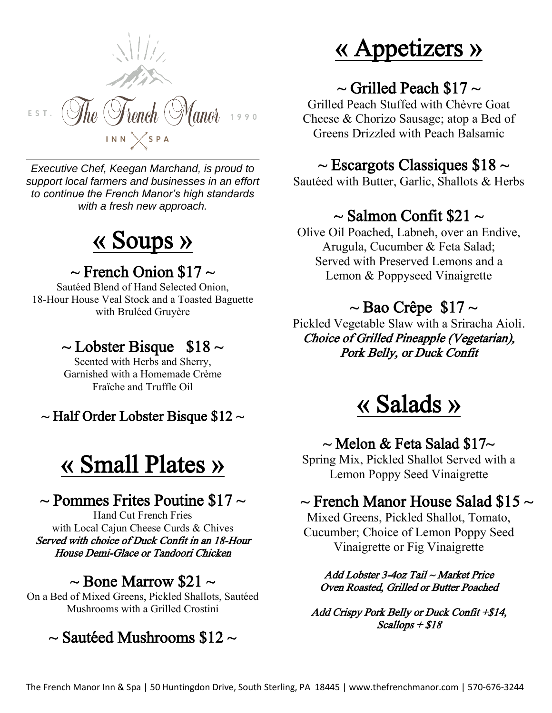

*Executive Chef, Keegan Marchand, is proud to support local farmers and businesses in an effort to continue the French Manor's high standards with a fresh new approach.* 

# « Soups »

#### $\sim$  French Onion \$17  $\sim$

Sautéed Blend of Hand Selected Onion, 18-Hour House Veal Stock and a Toasted Baguette with Bruléed Gruyère

## $\sim$  Lobster Bisque \$18  $\sim$

Scented with Herbs and Sherry, Garnished with a Homemade Crème Fraïche and Truffle Oil

 $\sim$  Half Order Lobster Bisque \$12  $\sim$ 

# « Small Plates »

### $\sim$  Pommes Frites Poutine \$17  $\sim$

Hand Cut French Fries with Local Cajun Cheese Curds & Chives Served with choice of Duck Confit in an 18-Hour House Demi-Glace or Tandoori Chicken

#### $\sim$  Bone Marrow \$21  $\sim$

On a Bed of Mixed Greens, Pickled Shallots, Sautéed Mushrooms with a Grilled Crostini

#### $\sim$  Sautéed Mushrooms \$12  $\sim$

# « Appetizers »

### $\sim$  Grilled Peach \$17  $\sim$

Grilled Peach Stuffed with Chèvre Goat Cheese & Chorizo Sausage; atop a Bed of Greens Drizzled with Peach Balsamic

#### $\sim$  Escargots Classiques \$18  $\sim$

Sautéed with Butter, Garlic, Shallots & Herbs

### $\sim$  Salmon Confit \$21  $\sim$

Olive Oil Poached, Labneh, over an Endive, Arugula, Cucumber & Feta Salad; Served with Preserved Lemons and a Lemon & Poppyseed Vinaigrette

## $\sim$  Bao Crêpe \$17  $\sim$

Pickled Vegetable Slaw with a Sriracha Aioli. Choice of Grilled Pineapple (Vegetarian), Pork Belly, or Duck Confit

# « Salads »

#### $\sim$  Melon & Feta Salad \$17 $\sim$

Spring Mix, Pickled Shallot Served with a Lemon Poppy Seed Vinaigrette

#### $\sim$  French Manor House Salad \$15  $\sim$

Mixed Greens, Pickled Shallot, Tomato, Cucumber; Choice of Lemon Poppy Seed Vinaigrette or Fig Vinaigrette

Add Lobster 3-4oz Tail ~ Market Price Oven Roasted, Grilled or Butter Poached

Add Crispy Pork Belly or Duck Confit +\$14, Scallops + \$18